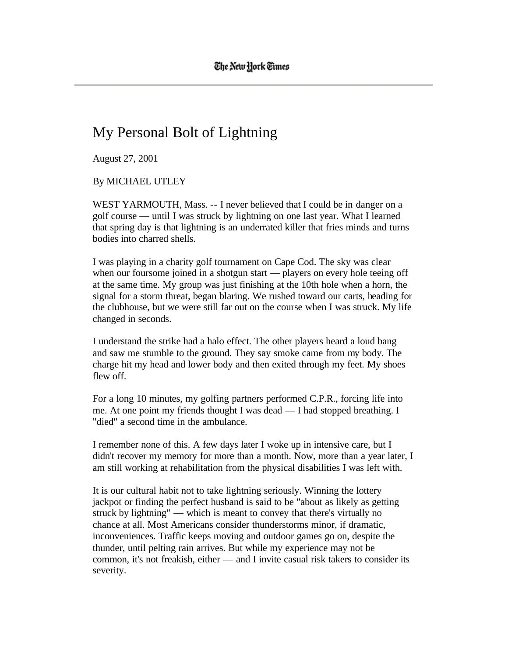## My Personal Bolt of Lightning

August 27, 2001

By MICHAEL UTLEY

WEST YARMOUTH, Mass. -- I never believed that I could be in danger on a golf course — until I was struck by lightning on one last year. What I learned that spring day is that lightning is an underrated killer that fries minds and turns bodies into charred shells.

I was playing in a charity golf tournament on Cape Cod. The sky was clear when our foursome joined in a shotgun start — players on every hole teeing off at the same time. My group was just finishing at the 10th hole when a horn, the signal for a storm threat, began blaring. We rushed toward our carts, heading for the clubhouse, but we were still far out on the course when I was struck. My life changed in seconds.

I understand the strike had a halo effect. The other players heard a loud bang and saw me stumble to the ground. They say smoke came from my body. The charge hit my head and lower body and then exited through my feet. My shoes flew off.

For a long 10 minutes, my golfing partners performed C.P.R., forcing life into me. At one point my friends thought I was dead — I had stopped breathing. I "died" a second time in the ambulance.

I remember none of this. A few days later I woke up in intensive care, but I didn't recover my memory for more than a month. Now, more than a year later, I am still working at rehabilitation from the physical disabilities I was left with.

It is our cultural habit not to take lightning seriously. Winning the lottery jackpot or finding the perfect husband is said to be "about as likely as getting struck by lightning" — which is meant to convey that there's virtually no chance at all. Most Americans consider thunderstorms minor, if dramatic, inconveniences. Traffic keeps moving and outdoor games go on, despite the thunder, until pelting rain arrives. But while my experience may not be common, it's not freakish, either — and I invite casual risk takers to consider its severity.